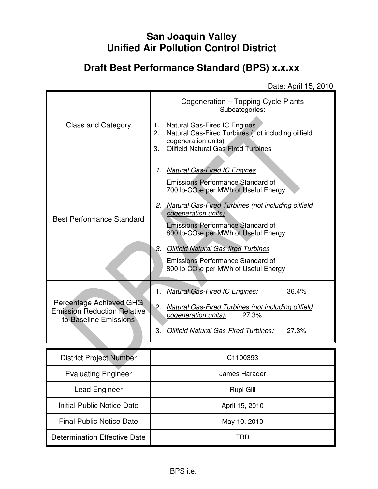# **San Joaquin Valley Unified Air Pollution Control District**

# **Draft Best Performance Standard (BPS) x.x.xx**

Date: April 15, 2010

|                                                                                        | Cogeneration – Topping Cycle Plants<br>Subcategories:                                                                                                                                                                                                                                                                                                                                                                                                                 |  |  |
|----------------------------------------------------------------------------------------|-----------------------------------------------------------------------------------------------------------------------------------------------------------------------------------------------------------------------------------------------------------------------------------------------------------------------------------------------------------------------------------------------------------------------------------------------------------------------|--|--|
| Class and Category                                                                     | Natural Gas-Fired IC Engines<br>1.<br>Natural Gas-Fired Turbines (not including oilfield<br>2.<br>cogeneration units)<br><b>Oilfield Natural Gas-Fired Turbines</b><br>3.                                                                                                                                                                                                                                                                                             |  |  |
| <b>Best Performance Standard</b>                                                       | <b>Natural Gas-Fired IC Engines</b><br>$\mathcal{I}$ .<br>Emissions Performance Standard of<br>700 lb-CO <sub>2</sub> e per MWh of Useful Energy<br>2. Natural Gas-Fired Turbines (not including oilfield<br>cogeneration units)<br><b>Emissions Performance Standard of</b><br>800 lb-CO <sub>2</sub> e per MWh of Useful Energy<br>3. Oilfield Natural Gas-fired Turbines<br>Emissions Performance Standard of<br>800 lb-CO <sub>2</sub> e per MWh of Useful Energy |  |  |
| Percentage Achieved GHG<br><b>Emission Reduction Relative</b><br>to Baseline Emissions | 36.4%<br><b>Natural Gas-Fired IC Engines:</b><br>1.<br>2.<br>Natural Gas-Fired Turbines (not including oilfield<br>27.3%<br>cogeneration units):<br>3.<br>Oilfield Natural Gas-Fired Turbines:<br>27.3%                                                                                                                                                                                                                                                               |  |  |

| <b>District Project Number</b>  | C1100393       |
|---------------------------------|----------------|
| <b>Evaluating Engineer</b>      | James Harader  |
| <b>Lead Engineer</b>            | Rupi Gill      |
| Initial Public Notice Date      | April 15, 2010 |
| <b>Final Public Notice Date</b> | May 10, 2010   |
| Determination Effective Date    | TRD            |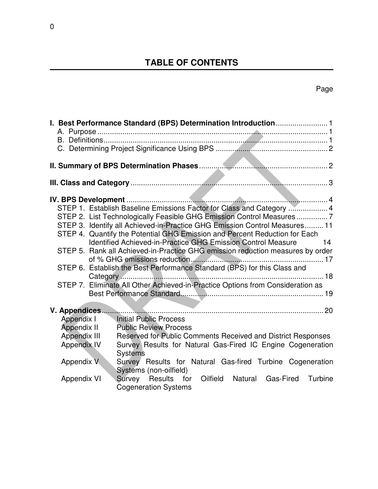# **TABLE OF CONTENTS**

## Page

| STEP 1. Establish Baseline Emissions Factor for Class and Category  4<br>STEP 2. List Technologically Feasible GHG Emission Control Measures 7<br>STEP 3. Identify all Achieved-in-Practice GHG Emission Control Measures 11<br>STEP 4. Quantify the Potential GHG Emission and Percent Reduction for Each<br>Identified Achieved-in-Practice GHG Emission Control Measure<br>$\overline{14}$<br>STEP 5. Rank all Achieved-in-Practice GHG emission reduction measures by order<br>STEP 6. Establish the Best Performance Standard (BPS) for this Class and<br>STEP 7. Eliminate All Other Achieved-in-Practice Options from Consideration as |
|-----------------------------------------------------------------------------------------------------------------------------------------------------------------------------------------------------------------------------------------------------------------------------------------------------------------------------------------------------------------------------------------------------------------------------------------------------------------------------------------------------------------------------------------------------------------------------------------------------------------------------------------------|
| V. Appendices                                                                                                                                                                                                                                                                                                                                                                                                                                                                                                                                                                                                                                 |
| Appendix I<br>Initial Public Process                                                                                                                                                                                                                                                                                                                                                                                                                                                                                                                                                                                                          |
| Appendix II<br><b>Public Review Process</b>                                                                                                                                                                                                                                                                                                                                                                                                                                                                                                                                                                                                   |
| Appendix III<br>Reserved for Public Comments Received and District Responses                                                                                                                                                                                                                                                                                                                                                                                                                                                                                                                                                                  |
| <b>Appendix IV</b><br>Survey Results for Natural Gas-Fired IC Engine Cogeneration<br><b>Systems</b>                                                                                                                                                                                                                                                                                                                                                                                                                                                                                                                                           |
| Survey Results for Natural Gas-fired Turbine Cogeneration<br>Appendix V<br>Systems (non-oilfield)                                                                                                                                                                                                                                                                                                                                                                                                                                                                                                                                             |
| Oilfield Natural Gas-Fired<br>Survey Results for<br>Turbine<br><b>Appendix VI</b><br><b>Cogeneration Systems</b>                                                                                                                                                                                                                                                                                                                                                                                                                                                                                                                              |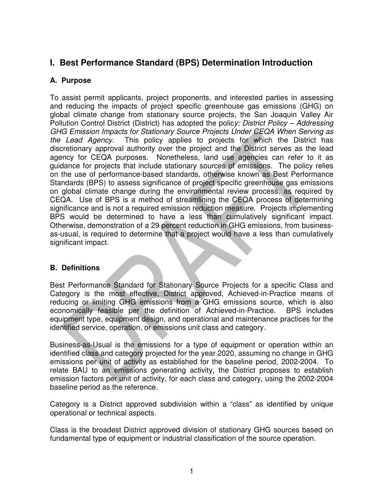### **I. Best Performance Standard (BPS) Determination Introduction**

### **A. Purpose**

To assist permit applicants, project proponents, and interested parties in assessing and reducing the impacts of project specific greenhouse gas emissions (GHG) on global climate change from stationary source projects, the San Joaquin Valley Air Pollution Control District (District) has adopted the policy: District Policy - Addressing GHG Emission Impacts for Stationary Source Projects Under CEQA When Serving as the Lead Agency. This policy applies to projects for which the District has discretionary approval authority over the project and the District serves as the lead agency for CEQA purposes. Nonetheless, land use agencies can refer to it as guidance for projects that include stationary sources of emissions. The policy relies on the use of performance-based standards, otherwise known as Best Performance Standards (BPS) to assess significance of project specific greenhouse gas emissions on global climate change during the environmental review process, as required by CEQA. Use of BPS is a method of streamlining the CEQA process of determining significance and is not a required emission reduction measure. Projects implementing BPS would be determined to have a less than cumulatively significant impact. Otherwise, demonstration of a 29 percent reduction in GHG emissions, from businessas-usual, is required to determine that a project would have a less than cumulatively significant impact.

### **B. Definitions**

Best Performance Standard for Stationary Source Projects for a specific Class and Category is the most effective, District approved, Achieved-in-Practice means of reducing or limiting GHG emissions from a GHG emissions source, which is also economically feasible per the definition of Achieved-in-Practice. BPS includes equipment type, equipment design, and operational and maintenance practices for the identified service, operation, or emissions unit class and category.

Business-as-Usual is the emissions for a type of equipment or operation within an identified class and category projected for the year 2020, assuming no change in GHG emissions per unit of activity as established for the baseline period, 2002-2004. To relate BAU to an emissions generating activity, the District proposes to establish emission factors per unit of activity, for each class and category, using the 2002-2004 baseline period as the reference.

Category is a District approved subdivision within a "class" as identified by unique operational or technical aspects.

Class is the broadest District approved division of stationary GHG sources based on fundamental type of equipment or industrial classification of the source operation.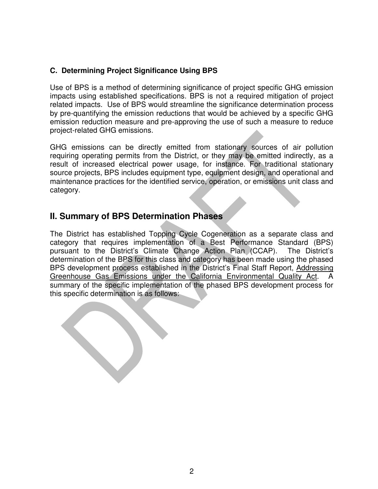### **C. Determining Project Significance Using BPS**

Use of BPS is a method of determining significance of project specific GHG emission impacts using established specifications. BPS is not a required mitigation of project related impacts. Use of BPS would streamline the significance determination process by pre-quantifying the emission reductions that would be achieved by a specific GHG emission reduction measure and pre-approving the use of such a measure to reduce project-related GHG emissions.

GHG emissions can be directly emitted from stationary sources of air pollution requiring operating permits from the District, or they may be emitted indirectly, as a result of increased electrical power usage, for instance. For traditional stationary source projects, BPS includes equipment type, equipment design, and operational and maintenance practices for the identified service, operation, or emissions unit class and category.

### **II. Summary of BPS Determination Phases**

The District has established Topping Cycle Cogeneration as a separate class and category that requires implementation of a Best Performance Standard (BPS) pursuant to the District's Climate Change Action Plan (CCAP). The District's determination of the BPS for this class and category has been made using the phased BPS development process established in the District's Final Staff Report, Addressing Greenhouse Gas Emissions under the California Environmental Quality Act. A summary of the specific implementation of the phased BPS development process for this specific determination is as follows: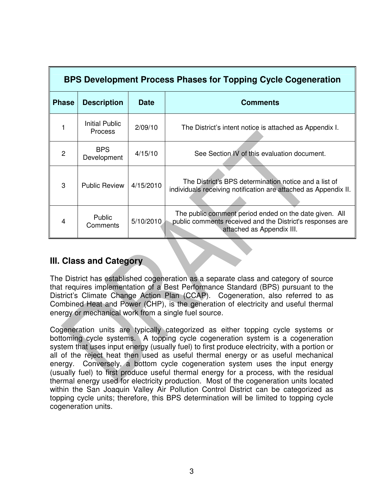| <b>BPS Development Process Phases for Topping Cycle Cogeneration</b> |                                         |             |                                                                                                                                                  |
|----------------------------------------------------------------------|-----------------------------------------|-------------|--------------------------------------------------------------------------------------------------------------------------------------------------|
| <b>Phase</b>                                                         | <b>Description</b>                      | <b>Date</b> | <b>Comments</b>                                                                                                                                  |
|                                                                      | <b>Initial Public</b><br><b>Process</b> | 2/09/10     | The District's intent notice is attached as Appendix I.                                                                                          |
| 2                                                                    | <b>BPS</b><br>Development               | 4/15/10     | See Section IV of this evaluation document.                                                                                                      |
| 3                                                                    | <b>Public Review</b>                    | 4/15/2010   | The District's BPS determination notice and a list of<br>individuals receiving notification are attached as Appendix II.                         |
| 4                                                                    | <b>Public</b><br>Comments               | 5/10/2010   | The public comment period ended on the date given. All<br>public comments received and the District's responses are<br>attached as Appendix III. |

### **III. Class and Category**

The District has established cogeneration as a separate class and category of source that requires implementation of a Best Performance Standard (BPS) pursuant to the District's Climate Change Action Plan (CCAP). Cogeneration, also referred to as Combined Heat and Power (CHP), is the generation of electricity and useful thermal energy or mechanical work from a single fuel source.

Cogeneration units are typically categorized as either topping cycle systems or bottoming cycle systems. A topping cycle cogeneration system is a cogeneration system that uses input energy (usually fuel) to first produce electricity, with a portion or all of the reject heat then used as useful thermal energy or as useful mechanical energy. Conversely, a bottom cycle cogeneration system uses the input energy (usually fuel) to first produce useful thermal energy for a process, with the residual thermal energy used for electricity production. Most of the cogeneration units located within the San Joaquin Valley Air Pollution Control District can be categorized as topping cycle units; therefore, this BPS determination will be limited to topping cycle cogeneration units.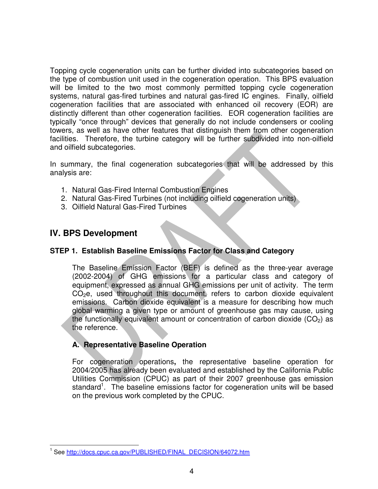Topping cycle cogeneration units can be further divided into subcategories based on the type of combustion unit used in the cogeneration operation. This BPS evaluation will be limited to the two most commonly permitted topping cycle cogeneration systems, natural gas-fired turbines and natural gas-fired IC engines. Finally, oilfield cogeneration facilities that are associated with enhanced oil recovery (EOR) are distinctly different than other cogeneration facilities. EOR cogeneration facilities are typically "once through" devices that generally do not include condensers or cooling towers, as well as have other features that distinguish them from other cogeneration facilities. Therefore, the turbine category will be further subdivided into non-oilfield and oilfield subcategories.

In summary, the final cogeneration subcategories that will be addressed by this analysis are:

- 1. Natural Gas-Fired Internal Combustion Engines
- 2. Natural Gas-Fired Turbines (not including oilfield cogeneration units)
- 3. Oilfield Natural Gas-Fired Turbines

### **IV. BPS Development**

#### **STEP 1. Establish Baseline Emissions Factor for Class and Category**

The Baseline Emission Factor (BEF) is defined as the three-year average (2002-2004) of GHG emissions for a particular class and category of equipment, expressed as annual GHG emissions per unit of activity. The term  $CO<sub>2</sub>e$ , used throughout this document, refers to carbon dioxide equivalent emissions. Carbon dioxide equivalent is a measure for describing how much global warming a given type or amount of greenhouse gas may cause, using the functionally equivalent amount or concentration of carbon dioxide  $(CO<sub>2</sub>)$  as the reference.

#### **A. Representative Baseline Operation**

For cogeneration operations**,** the representative baseline operation for 2004/2005 has already been evaluated and established by the California Public Utilities Commission (CPUC) as part of their 2007 greenhouse gas emission standard<sup>1</sup>. The baseline emissions factor for cogeneration units will be based on the previous work completed by the CPUC.

 $\overline{a}$ <sup>1</sup> See http://docs.cpuc.ca.gov/PUBLISHED/FINAL\_DECISION/64072.htm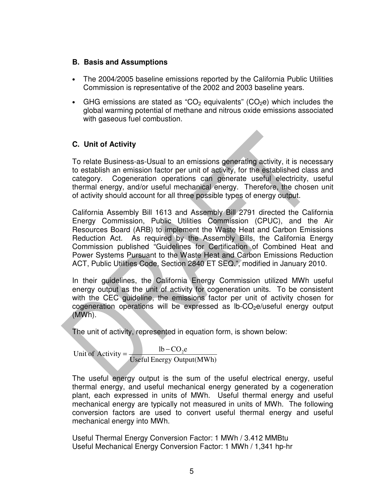#### **B. Basis and Assumptions**

- The 2004/2005 baseline emissions reported by the California Public Utilities Commission is representative of the 2002 and 2003 baseline years.
- GHG emissions are stated as "CO<sub>2</sub> equivalents" (CO<sub>2</sub>e) which includes the global warming potential of methane and nitrous oxide emissions associated with gaseous fuel combustion.

### **C. Unit of Activity**

To relate Business-as-Usual to an emissions generating activity, it is necessary to establish an emission factor per unit of activity, for the established class and category. Cogeneration operations can generate useful electricity, useful thermal energy, and/or useful mechanical energy. Therefore, the chosen unit of activity should account for all three possible types of energy output.

California Assembly Bill 1613 and Assembly Bill 2791 directed the California Energy Commission, Public Utilities Commission (CPUC), and the Air Resources Board (ARB) to implement the Waste Heat and Carbon Emissions Reduction Act. As required by the Assembly Bills, the California Energy Commission published "Guidelines for Certification of Combined Heat and Power Systems Pursuant to the Waste Heat and Carbon Emissions Reduction ACT, Public Utilities Code, Section 2840 ET SEQ.", modified in January 2010.

In their guidelines, the California Energy Commission utilized MWh useful energy output as the unit of activity for cogeneration units. To be consistent with the CEC guideline, the emissions factor per unit of activity chosen for  $cogeneration$  operations will be expressed as  $lb$ - $CO$ <sub>2</sub> $e$ /useful energy output (MWh).

The unit of activity, represented in equation form, is shown below:

Useful Energy Output(MWh) Unit of Activity =  $\frac{1b - CO_2 e}{\sqrt{1 - C_2}}$ 

The useful energy output is the sum of the useful electrical energy, useful thermal energy, and useful mechanical energy generated by a cogeneration plant, each expressed in units of MWh. Useful thermal energy and useful mechanical energy are typically not measured in units of MWh. The following conversion factors are used to convert useful thermal energy and useful mechanical energy into MWh.

Useful Thermal Energy Conversion Factor: 1 MWh / 3.412 MMBtu Useful Mechanical Energy Conversion Factor: 1 MWh / 1,341 hp-hr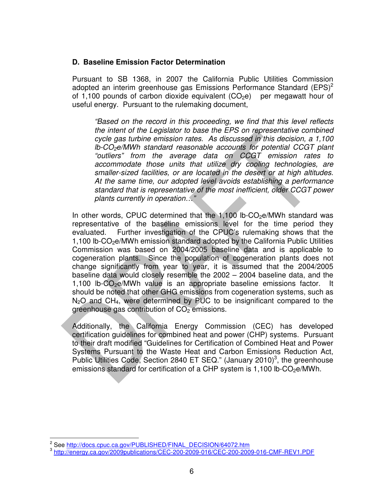#### **D. Baseline Emission Factor Determination**

Pursuant to SB 1368, in 2007 the California Public Utilities Commission adopted an interim greenhouse gas Emissions Performance Standard (EPS)<sup>2</sup> of 1,100 pounds of carbon dioxide equivalent  $(CO<sub>2</sub>e)$  per megawatt hour of useful energy. Pursuant to the rulemaking document,

"Based on the record in this proceeding, we find that this level reflects the intent of the Legislator to base the EPS on representative combined cycle gas turbine emission rates. As discussed in this decision, a 1,100  $lb$ -CO<sub>2</sub>e/MWh standard reasonable accounts for potential CCGT plant "outliers" from the average data on CCGT emission rates to accommodate those units that utilize dry cooling technologies, are smaller-sized facilities, or are located in the desert or at high altitudes. At the same time, our adopted level avoids establishing a performance standard that is representative of the most inefficient, older CCGT power plants currently in operation…"

In other words, CPUC determined that the  $1,100$  lb-CO<sub>2</sub>e/MWh standard was representative of the baseline emissions level for the time period they evaluated. Further investigation of the CPUC's rulemaking shows that the  $1,100$  lb-CO<sub>2</sub>e/MWh emission standard adopted by the California Public Utilities Commission was based on 2004/2005 baseline data and is applicable to cogeneration plants. Since the population of cogeneration plants does not change significantly from year to year, it is assumed that the 2004/2005 baseline data would closely resemble the 2002 – 2004 baseline data, and the 1,100 lb- $CO<sub>2</sub>e/MWh$  value is an appropriate baseline emissions factor. It should be noted that other GHG emissions from cogeneration systems, such as  $N<sub>2</sub>O$  and CH<sub>4</sub>, were determined by PUC to be insignificant compared to the greenhouse gas contribution of  $CO<sub>2</sub>$  emissions.

Additionally, the California Energy Commission (CEC) has developed certification guidelines for combined heat and power (CHP) systems. Pursuant to their draft modified "Guidelines for Certification of Combined Heat and Power Systems Pursuant to the Waste Heat and Carbon Emissions Reduction Act, Public Utilities Code, Section 2840 ET SEQ." (January 2010)<sup>3</sup>, the greenhouse emissions standard for certification of a CHP system is  $1,100$  lb-CO<sub>2</sub>e/MWh.

 $\overline{a}$ 

<sup>&</sup>lt;sup>2</sup> See http://docs.cpuc.ca.gov/PUBLISHED/FINAL\_DECISION/64072.htm

<sup>&</sup>lt;sup>3</sup> http://energy.ca.gov/2009publications/CEC-200-2009-016/CEC-200-2009-016-CMF-REV1.PDF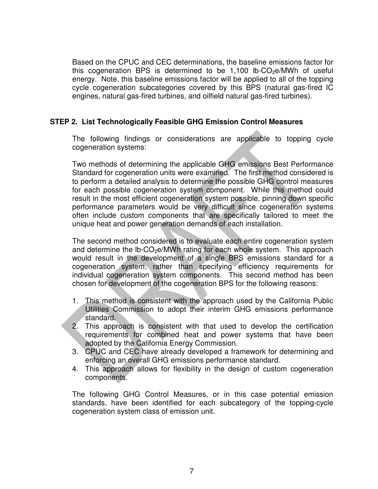Based on the CPUC and CEC determinations, the baseline emissions factor for this cogeneration BPS is determined to be  $1,100$  lb-CO<sub>2</sub>e/MWh of useful energy. Note, this baseline emissions factor will be applied to all of the topping cycle cogeneration subcategories covered by this BPS (natural gas-fired IC engines, natural gas-fired turbines, and oilfield natural gas-fired turbines).

#### **STEP 2. List Technologically Feasible GHG Emission Control Measures**

The following findings or considerations are applicable to topping cycle cogeneration systems:

Two methods of determining the applicable GHG emissions Best Performance Standard for cogeneration units were examined. The first method considered is to perform a detailed analysis to determine the possible GHG control measures for each possible cogeneration system component. While this method could result in the most efficient cogeneration system possible, pinning down specific performance parameters would be very difficult since cogeneration systems often include custom components that are specifically tailored to meet the unique heat and power generation demands of each installation.

The second method considered is to evaluate each entire cogeneration system and determine the  $lb$ -CO<sub>2</sub>e/MWh rating for each whole system. This approach would result in the development of a single BPS emissions standard for a cogeneration system, rather than specifying efficiency requirements for individual cogeneration system components. This second method has been chosen for development of the cogeneration BPS for the following reasons:

- 1. This method is consistent with the approach used by the California Public Utilities Commission to adopt their interim GHG emissions performance standard.
- 2. This approach is consistent with that used to develop the certification requirements for combined heat and power systems that have been adopted by the California Energy Commission.
- 3. CPUC and CEC have already developed a framework for determining and enforcing an overall GHG emissions performance standard.
- 4. This approach allows for flexibility in the design of custom cogeneration components.

The following GHG Control Measures, or in this case potential emission standards, have been identified for each subcategory of the topping-cycle cogeneration system class of emission unit.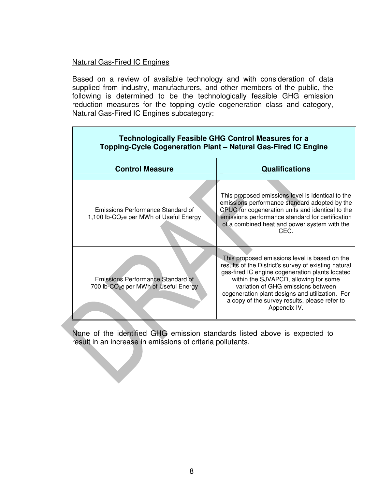#### Natural Gas-Fired IC Engines

Based on a review of available technology and with consideration of data supplied from industry, manufacturers, and other members of the public, the following is determined to be the technologically feasible GHG emission reduction measures for the topping cycle cogeneration class and category, Natural Gas-Fired IC Engines subcategory:

| <b>Technologically Feasible GHG Control Measures for a</b><br>Topping-Cycle Cogeneration Plant - Natural Gas-Fired IC Engine |                                                                                                                                                                                                                                                                                                                                                             |  |
|------------------------------------------------------------------------------------------------------------------------------|-------------------------------------------------------------------------------------------------------------------------------------------------------------------------------------------------------------------------------------------------------------------------------------------------------------------------------------------------------------|--|
| <b>Control Measure</b>                                                                                                       | <b>Qualifications</b>                                                                                                                                                                                                                                                                                                                                       |  |
| Emissions Performance Standard of<br>1,100 lb-CO <sub>2</sub> e per MWh of Useful Energy                                     | This proposed emissions level is identical to the<br>emissions performance standard adopted by the<br>CPUC for cogeneration units and identical to the<br>emissions performance standard for certification<br>of a combined heat and power system with the<br>CEC.                                                                                          |  |
| Emissions Performance Standard of<br>700 lb-CO <sub>2</sub> e per MWh of Useful Energy                                       | This proposed emissions level is based on the<br>results of the District's survey of existing natural<br>gas-fired IC engine cogeneration plants located<br>within the SJVAPCD, allowing for some<br>variation of GHG emissions between<br>cogeneration plant designs and utilization. For<br>a copy of the survey results, please refer to<br>Appendix IV. |  |

None of the identified GHG emission standards listed above is expected to result in an increase in emissions of criteria pollutants.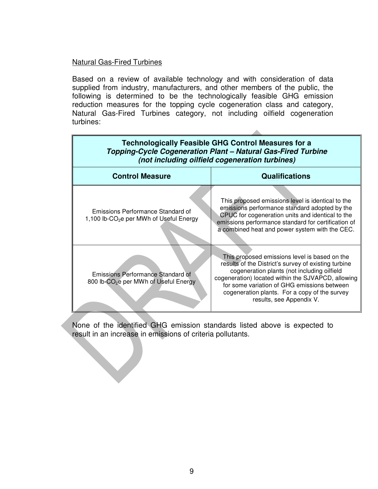#### Natural Gas-Fired Turbines

Based on a review of available technology and with consideration of data supplied from industry, manufacturers, and other members of the public, the following is determined to be the technologically feasible GHG emission reduction measures for the topping cycle cogeneration class and category, Natural Gas-Fired Turbines category, not including oilfield cogeneration turbines:

| <b>Technologically Feasible GHG Control Measures for a</b><br>Topping-Cycle Cogeneration Plant - Natural Gas-Fired Turbine<br>(not including oilfield cogeneration turbines) |                                                                                                                                                                                                                                                                                                                                        |  |
|------------------------------------------------------------------------------------------------------------------------------------------------------------------------------|----------------------------------------------------------------------------------------------------------------------------------------------------------------------------------------------------------------------------------------------------------------------------------------------------------------------------------------|--|
| <b>Control Measure</b>                                                                                                                                                       | <b>Qualifications</b>                                                                                                                                                                                                                                                                                                                  |  |
| Emissions Performance Standard of<br>1,100 lb-CO <sub>2</sub> e per MWh of Useful Energy                                                                                     | This proposed emissions level is identical to the<br>emissions performance standard adopted by the<br>CPUC for cogeneration units and identical to the<br>emissions performance standard for certification of<br>a combined heat and power system with the CEC.                                                                        |  |
| Emissions Performance Standard of<br>800 lb-CO <sub>2</sub> e per MWh of Useful Energy                                                                                       | This proposed emissions level is based on the<br>results of the District's survey of existing turbine<br>cogeneration plants (not including oilfield<br>cogeneration) located within the SJVAPCD, allowing<br>for some variation of GHG emissions between<br>cogeneration plants. For a copy of the survey<br>results, see Appendix V. |  |

None of the identified GHG emission standards listed above is expected to result in an increase in emissions of criteria pollutants.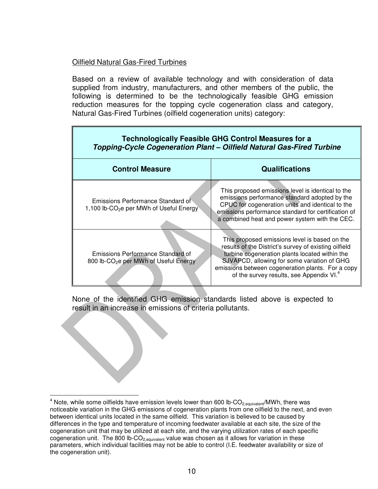#### Oilfield Natural Gas-Fired Turbines

Based on a review of available technology and with consideration of data supplied from industry, manufacturers, and other members of the public, the following is determined to be the technologically feasible GHG emission reduction measures for the topping cycle cogeneration class and category, Natural Gas-Fired Turbines (oilfield cogeneration units) category:

| <b>Technologically Feasible GHG Control Measures for a</b><br>Topping-Cycle Cogeneration Plant - Oilfield Natural Gas-Fired Turbine |                                                                                                                                                                                                                                                                                                                      |  |
|-------------------------------------------------------------------------------------------------------------------------------------|----------------------------------------------------------------------------------------------------------------------------------------------------------------------------------------------------------------------------------------------------------------------------------------------------------------------|--|
| <b>Control Measure</b>                                                                                                              | <b>Qualifications</b>                                                                                                                                                                                                                                                                                                |  |
| Emissions Performance Standard of<br>1,100 lb-CO <sub>2</sub> e per MWh of Useful Energy                                            | This proposed emissions level is identical to the<br>emissions performance standard adopted by the<br>CPUC for cogeneration units and identical to the<br>emissions performance standard for certification of<br>a combined heat and power system with the CEC.                                                      |  |
| Emissions Performance Standard of<br>800 lb-CO <sub>2</sub> e per MWh of Useful Energy                                              | This proposed emissions level is based on the<br>results of the District's survey of existing oilfield<br>turbine cogeneration plants located within the<br>SJVAPCD, allowing for some variation of GHG<br>emissions between cogeneration plants. For a copy<br>of the survey results, see Appendix VI. <sup>4</sup> |  |

None of the identified GHG emission standards listed above is expected to result in an increase in emissions of criteria pollutants.

 4 Note, while some oilfields have emission levels lower than 600 lb-CO2,equivalent/MWh, there was noticeable variation in the GHG emissions of cogeneration plants from one oilfield to the next, and even between identical units located in the same oilfield. This variation is believed to be caused by differences in the type and temperature of incoming feedwater available at each site, the size of the cogeneration unit that may be utilized at each site, and the varying utilization rates of each specific cogeneration unit. The 800 lb-CO<sub>2 equivalent</sub> value was chosen as it allows for variation in these parameters, which individual facilities may not be able to control (I.E. feedwater availability or size of the cogeneration unit).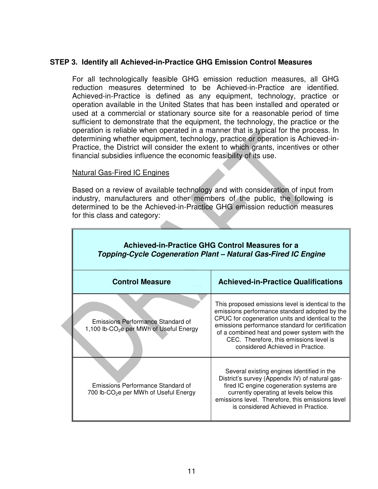#### **STEP 3. Identify all Achieved-in-Practice GHG Emission Control Measures**

For all technologically feasible GHG emission reduction measures, all GHG reduction measures determined to be Achieved-in-Practice are identified. Achieved-in-Practice is defined as any equipment, technology, practice or operation available in the United States that has been installed and operated or used at a commercial or stationary source site for a reasonable period of time sufficient to demonstrate that the equipment, the technology, the practice or the operation is reliable when operated in a manner that is typical for the process. In determining whether equipment, technology, practice or operation is Achieved-in-Practice, the District will consider the extent to which grants, incentives or other financial subsidies influence the economic feasibility of its use.

#### Natural Gas-Fired IC Engines

Based on a review of available technology and with consideration of input from industry, manufacturers and other members of the public, the following is determined to be the Achieved-in-Practice GHG emission reduction measures for this class and category:

| <b>Achieved-in-Practice GHG Control Measures for a</b><br>Topping-Cycle Cogeneration Plant - Natural Gas-Fired IC Engine |                                                                                                                                                                                                                                                                                                                                           |  |  |
|--------------------------------------------------------------------------------------------------------------------------|-------------------------------------------------------------------------------------------------------------------------------------------------------------------------------------------------------------------------------------------------------------------------------------------------------------------------------------------|--|--|
| <b>Control Measure</b>                                                                                                   | <b>Achieved-in-Practice Qualifications</b>                                                                                                                                                                                                                                                                                                |  |  |
| Emissions Performance Standard of<br>1,100 lb-CO <sub>2</sub> e per MWh of Useful Energy                                 | This proposed emissions level is identical to the<br>emissions performance standard adopted by the<br>CPUC for cogeneration units and identical to the<br>emissions performance standard for certification<br>of a combined heat and power system with the<br>CEC. Therefore, this emissions level is<br>considered Achieved in Practice. |  |  |
| Emissions Performance Standard of<br>700 lb-CO <sub>2</sub> e per MWh of Useful Energy                                   | Several existing engines identified in the<br>District's survey (Appendix IV) of natural gas-<br>fired IC engine cogeneration systems are<br>currently operating at levels below this<br>emissions level. Therefore, this emissions level<br>is considered Achieved in Practice.                                                          |  |  |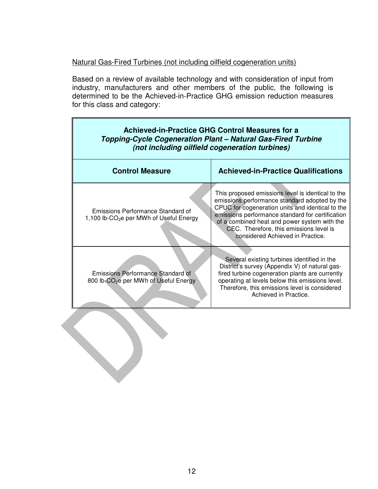#### Natural Gas-Fired Turbines (not including oilfield cogeneration units)

Based on a review of available technology and with consideration of input from industry, manufacturers and other members of the public, the following is determined to be the Achieved-in-Practice GHG emission reduction measures for this class and category:

| <b>Achieved-in-Practice GHG Control Measures for a</b><br>Topping-Cycle Cogeneration Plant - Natural Gas-Fired Turbine<br>(not including oilfield cogeneration turbines) |                                                                                                                                                                                                                                                                                                                                           |  |
|--------------------------------------------------------------------------------------------------------------------------------------------------------------------------|-------------------------------------------------------------------------------------------------------------------------------------------------------------------------------------------------------------------------------------------------------------------------------------------------------------------------------------------|--|
| <b>Control Measure</b>                                                                                                                                                   | <b>Achieved-in-Practice Qualifications</b>                                                                                                                                                                                                                                                                                                |  |
| Emissions Performance Standard of<br>1,100 lb-CO <sub>2</sub> e per MWh of Useful Energy                                                                                 | This proposed emissions level is identical to the<br>emissions performance standard adopted by the<br>CPUC for cogeneration units and identical to the<br>emissions performance standard for certification<br>of a combined heat and power system with the<br>CEC. Therefore, this emissions level is<br>considered Achieved in Practice. |  |
| Emissions Performance Standard of<br>800 lb-CO <sub>2</sub> e per MWh of Useful Energy                                                                                   | Several existing turbines identified in the<br>District's survey (Appendix V) of natural gas-<br>fired turbine cogeneration plants are currently<br>operating at levels below this emissions level.<br>Therefore, this emissions level is considered<br>Achieved in Practice.                                                             |  |
|                                                                                                                                                                          |                                                                                                                                                                                                                                                                                                                                           |  |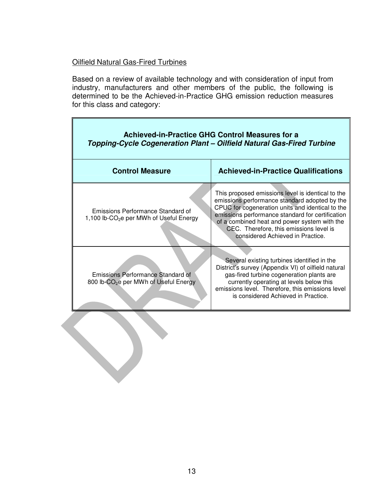#### Oilfield Natural Gas-Fired Turbines

Based on a review of available technology and with consideration of input from industry, manufacturers and other members of the public, the following is determined to be the Achieved-in-Practice GHG emission reduction measures for this class and category:

| <b>Achieved-in-Practice GHG Control Measures for a</b><br>Topping-Cycle Cogeneration Plant - Oilfield Natural Gas-Fired Turbine |                                                                                                                                                                                                                                                                                                                                           |  |
|---------------------------------------------------------------------------------------------------------------------------------|-------------------------------------------------------------------------------------------------------------------------------------------------------------------------------------------------------------------------------------------------------------------------------------------------------------------------------------------|--|
| <b>Control Measure</b>                                                                                                          | <b>Achieved-in-Practice Qualifications</b>                                                                                                                                                                                                                                                                                                |  |
| Emissions Performance Standard of<br>1,100 lb-CO <sub>2</sub> e per MWh of Useful Energy                                        | This proposed emissions level is identical to the<br>emissions performance standard adopted by the<br>CPUC for cogeneration units and identical to the<br>emissions performance standard for certification<br>of a combined heat and power system with the<br>CEC. Therefore, this emissions level is<br>considered Achieved in Practice. |  |
| Emissions Performance Standard of<br>800 lb-CO <sub>2</sub> e per MWh of Useful Energy                                          | Several existing turbines identified in the<br>District's survey (Appendix VI) of oilfield natural<br>gas-fired turbine cogeneration plants are<br>currently operating at levels below this<br>emissions level. Therefore, this emissions level<br>is considered Achieved in Practice.                                                    |  |
|                                                                                                                                 |                                                                                                                                                                                                                                                                                                                                           |  |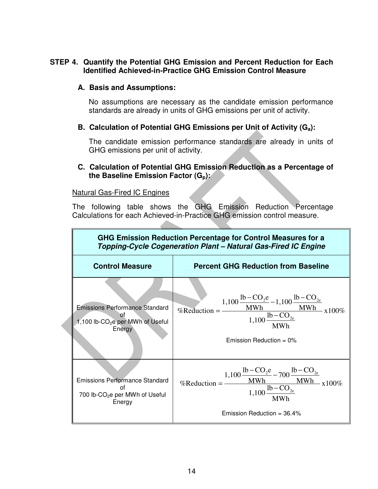#### **STEP 4. Quantify the Potential GHG Emission and Percent Reduction for Each Identified Achieved-in-Practice GHG Emission Control Measure**

#### **A. Basis and Assumptions:**

No assumptions are necessary as the candidate emission performance standards are already in units of GHG emissions per unit of activity.

#### **B. Calculation of Potential GHG Emissions per Unit of Activity (Ga):**

The candidate emission performance standards are already in units of GHG emissions per unit of activity.

#### **C. Calculation of Potential GHG Emission Reduction as a Percentage of the Baseline Emission Factor (Gp):**

#### Natural Gas-Fired IC Engines

The following table shows the GHG Emission Reduction Percentage Calculations for each Achieved-in-Practice GHG emission control measure.

| GHG Emission Reduction Percentage for Control Measures for a<br>Topping-Cycle Cogeneration Plant - Natural Gas-Fired IC Engine |                                                                                                                                                                                                                                                     |
|--------------------------------------------------------------------------------------------------------------------------------|-----------------------------------------------------------------------------------------------------------------------------------------------------------------------------------------------------------------------------------------------------|
| <b>Control Measure</b>                                                                                                         | <b>Percent GHG Reduction from Baseline</b>                                                                                                                                                                                                          |
| <b>Emissions Performance Standard</b><br>1,100 lb-CO <sub>2</sub> e per MWh of Useful<br>Energy                                | %Reduction = $\frac{1,100 \frac{\text{lb} - \text{CO}_{2} \text{e}}{\text{MWh}} - 1,100 \frac{\text{lb} - \text{CO}_{2} \text{e}}{\text{MWh}}}{1,100 \frac{\text{lb} - \text{CO}_{2} \text{e}}{\text{MWh}}}$ x 100%<br>Emission Reduction = $0\%$   |
| <b>Emissions Performance Standard</b><br>nt<br>700 lb-CO <sub>2</sub> e per MWh of Useful<br>Energy                            | %Reduction = $\frac{1,100 \frac{\text{lb} - \text{CO}_2\text{e}}{\text{MWh}} - 700 \frac{\text{lb} - \text{CO}_{2\text{e}}}{\text{MWh}} \times 100\%}{1,100 \frac{\text{lb} - \text{CO}_{2\text{e}}}{\text{MWh}}}$<br>Emission Reduction = $36.4\%$ |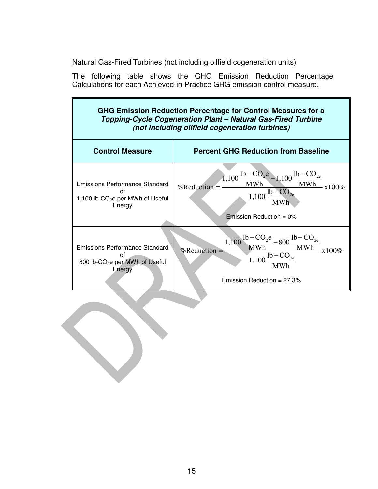### Natural Gas-Fired Turbines (not including oilfield cogeneration units)

The following table shows the GHG Emission Reduction Percentage Calculations for each Achieved-in-Practice GHG emission control measure.

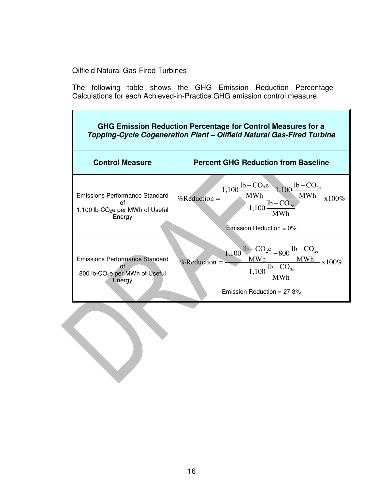### Oilfield Natural Gas-Fired Turbines

The following table shows the GHG Emission Reduction Percentage Calculations for each Achieved-in-Practice GHG emission control measure.

| GHG Emission Reduction Percentage for Control Measures for a<br>Topping-Cycle Cogeneration Plant - Oilfield Natural Gas-Fired Turbine |                                                                                                                                                                                                                                           |  |
|---------------------------------------------------------------------------------------------------------------------------------------|-------------------------------------------------------------------------------------------------------------------------------------------------------------------------------------------------------------------------------------------|--|
| <b>Control Measure</b>                                                                                                                | <b>Percent GHG Reduction from Baseline</b>                                                                                                                                                                                                |  |
| Emissions Performance Standard<br>Ωf<br>1,100 lb-CO <sub>2</sub> e per MWh of Useful<br>Energy                                        | %Reduction = $\frac{1,100 \frac{\text{lb} - \text{CO}_2\text{e}}{\text{MWh}} - 1,100 \frac{\text{lb} - \text{CO}_{2\text{e}}}{\text{MWh}}}{1,100 \frac{\text{lb} - \text{CO}_{2\text{e}}}{\text{MWh}}}$<br><b>Emission Reduction = 0%</b> |  |
| <b>Emissions Performance Standard</b><br>Ωf<br>800 lb-CO <sub>2</sub> e per MWh of Useful<br>Energy                                   | $\frac{1,100\frac{\text{lb}-\text{CO}_2\text{e}}{\text{MWh}}-800\frac{\text{lb}-\text{CO}_{2\text{e}}}{\text{MWh}}}{1,100\frac{\text{lb}-\text{CO}_{2\text{e}}}{\text{MWh}}},$<br>%Reduction $=$<br>Emission Reduction = $27.3\%$         |  |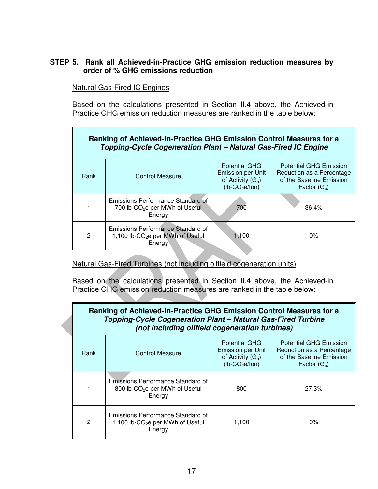#### **STEP 5. Rank all Achieved-in-Practice GHG emission reduction measures by order of % GHG emissions reduction**

Natural Gas-Fired IC Engines

Based on the calculations presented in Section II.4 above, the Achieved-in Practice GHG emission reduction measures are ranked in the table below:

| Ranking of Achieved-in-Practice GHG Emission Control Measures for a<br>Topping-Cycle Cogeneration Plant - Natural Gas-Fired IC Engine |                                                                                             |                                                                                                          |                                                                                                          |
|---------------------------------------------------------------------------------------------------------------------------------------|---------------------------------------------------------------------------------------------|----------------------------------------------------------------------------------------------------------|----------------------------------------------------------------------------------------------------------|
| Rank                                                                                                                                  | <b>Control Measure</b>                                                                      | <b>Potential GHG</b><br><b>Emission per Unit</b><br>of Activity $(G_a)$<br>$(lb$ -CO <sub>2</sub> e/ton) | <b>Potential GHG Emission</b><br>Reduction as a Percentage<br>of the Baseline Emission<br>Factor $(G_p)$ |
|                                                                                                                                       | Emissions Performance Standard of<br>700 lb-CO <sub>2</sub> e per MWh of Useful<br>Energy   | 700                                                                                                      | 36.4%                                                                                                    |
| $\mathbf{2}$                                                                                                                          | Emissions Performance Standard of<br>1,100 lb-CO <sub>2</sub> e per MWh of Useful<br>Energy | 1,100                                                                                                    | $0\%$                                                                                                    |

Natural Gas-Fired Turbines (not including oilfield cogeneration units)

Based on the calculations presented in Section II.4 above, the Achieved-in Practice GHG emission reduction measures are ranked in the table below:

| Ranking of Achieved-in-Practice GHG Emission Control Measures for a<br>Topping-Cycle Cogeneration Plant - Natural Gas-Fired Turbine<br>(not including oilfield cogeneration turbines) |                                                                                             |                                                                                                          |                                                                                                          |
|---------------------------------------------------------------------------------------------------------------------------------------------------------------------------------------|---------------------------------------------------------------------------------------------|----------------------------------------------------------------------------------------------------------|----------------------------------------------------------------------------------------------------------|
| Rank                                                                                                                                                                                  | <b>Control Measure</b>                                                                      | <b>Potential GHG</b><br><b>Emission per Unit</b><br>of Activity $(G_a)$<br>$(lb$ -CO <sub>2</sub> e/ton) | <b>Potential GHG Emission</b><br>Reduction as a Percentage<br>of the Baseline Emission<br>Factor $(G_p)$ |
|                                                                                                                                                                                       | Emissions Performance Standard of<br>800 lb-CO <sub>2</sub> e per MWh of Useful<br>Energy   | 800                                                                                                      | 27.3%                                                                                                    |
| 2                                                                                                                                                                                     | Emissions Performance Standard of<br>1,100 lb-CO <sub>2</sub> e per MWh of Useful<br>Energy | 1,100                                                                                                    | $0\%$                                                                                                    |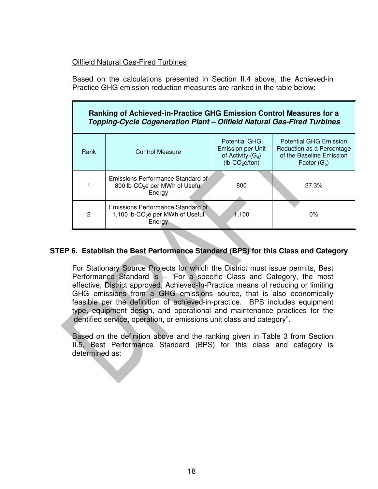#### Oilfield Natural Gas-Fired Turbines

Based on the calculations presented in Section II.4 above, the Achieved-in Practice GHG emission reduction measures are ranked in the table below:

| Ranking of Achieved-in-Practice GHG Emission Control Measures for a<br>Topping-Cycle Cogeneration Plant - Oilfield Natural Gas-Fired Turbines |                                                                                             |                                                                                                          |                                                                                                          |
|-----------------------------------------------------------------------------------------------------------------------------------------------|---------------------------------------------------------------------------------------------|----------------------------------------------------------------------------------------------------------|----------------------------------------------------------------------------------------------------------|
| Rank                                                                                                                                          | Control Measure                                                                             | <b>Potential GHG</b><br><b>Emission per Unit</b><br>of Activity $(G_a)$<br>$(lb$ -CO <sub>2</sub> e/ton) | <b>Potential GHG Emission</b><br>Reduction as a Percentage<br>of the Baseline Emission<br>Factor $(G_p)$ |
|                                                                                                                                               | Emissions Performance Standard of<br>800 lb-CO <sub>2</sub> e per MWh of Useful<br>Energy   | 800                                                                                                      | 27.3%                                                                                                    |
| $\overline{2}$                                                                                                                                | Emissions Performance Standard of<br>1,100 lb-CO <sub>2</sub> e per MWh of Useful<br>Energy | 1.100                                                                                                    | $0\%$                                                                                                    |

#### **STEP 6. Establish the Best Performance Standard (BPS) for this Class and Category**

For Stationary Source Projects for which the District must issue permits, Best Performance Standard is – "For a specific Class and Category, the most effective, District approved, Achieved-In-Practice means of reducing or limiting GHG emissions from a GHG emissions source, that is also economically feasible per the definition of achieved-in-practice. BPS includes equipment type, equipment design, and operational and maintenance practices for the identified service, operation, or emissions unit class and category".

Based on the definition above and the ranking given in Table 3 from Section II.5, Best Performance Standard (BPS) for this class and category is determined as: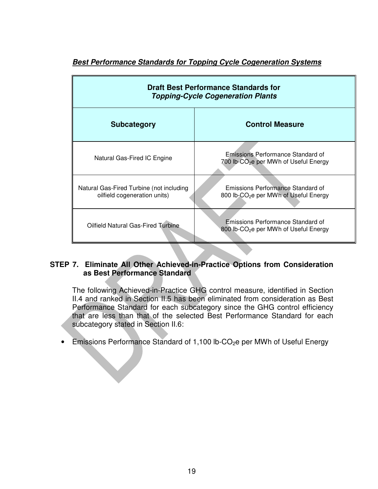| <b>Draft Best Performance Standards for</b><br><b>Topping-Cycle Cogeneration Plants</b> |                                                                                        |  |
|-----------------------------------------------------------------------------------------|----------------------------------------------------------------------------------------|--|
| <b>Subcategory</b>                                                                      | <b>Control Measure</b>                                                                 |  |
| Natural Gas-Fired IC Engine                                                             | Emissions Performance Standard of<br>700 lb-CO <sub>2</sub> e per MWh of Useful Energy |  |
| Natural Gas-Fired Turbine (not including<br>oilfield cogeneration units)                | Emissions Performance Standard of<br>800 lb-CO <sub>2</sub> e per MWh of Useful Energy |  |
| Oilfield Natural Gas-Fired Turbine                                                      | Emissions Performance Standard of<br>800 lb-CO <sub>2</sub> e per MWh of Useful Energy |  |

### **Best Performance Standards for Topping Cycle Cogeneration Systems**

#### **STEP 7. Eliminate All Other Achieved-in-Practice Options from Consideration as Best Performance Standard**

The following Achieved-in-Practice GHG control measure, identified in Section II.4 and ranked in Section II.5 has been eliminated from consideration as Best Performance Standard for each subcategory since the GHG control efficiency that are less than that of the selected Best Performance Standard for each subcategory stated in Section II.6:

Emissions Performance Standard of 1,100 lb-CO<sub>2</sub>e per MWh of Useful Energy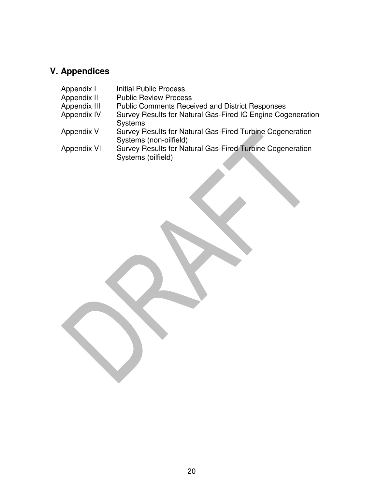# **V. Appendices**

| Appendix I         | <b>Initial Public Process</b>                                                       |
|--------------------|-------------------------------------------------------------------------------------|
| Appendix II        | <b>Public Review Process</b>                                                        |
| Appendix III       | <b>Public Comments Received and District Responses</b>                              |
| <b>Appendix IV</b> | Survey Results for Natural Gas-Fired IC Engine Cogeneration<br><b>Systems</b>       |
| Appendix V         | Survey Results for Natural Gas-Fired Turbine Cogeneration<br>Systems (non-oilfield) |
| <b>Appendix VI</b> | Survey Results for Natural Gas-Fired Turbine Cogeneration<br>Systems (oilfield)     |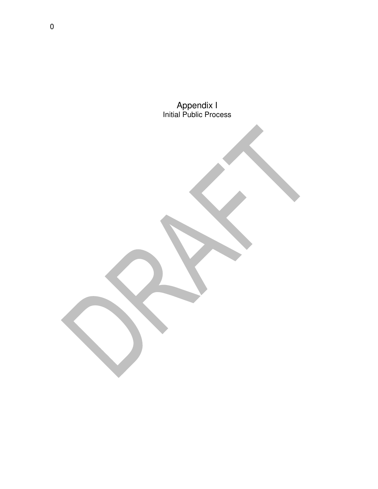Appendix I Initial Public Process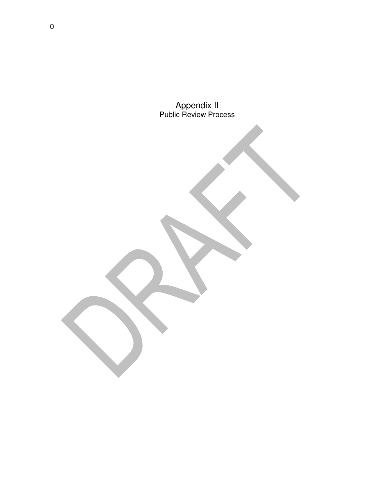Appendix II Public Review Process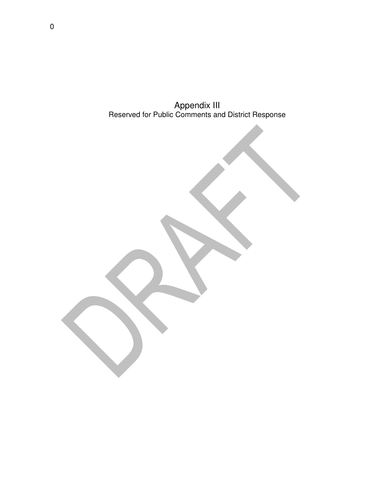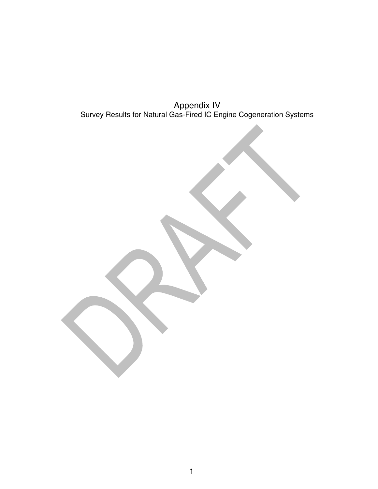Appendix IV Survey Results for Natural Gas-Fired IC Engine Cogeneration Systems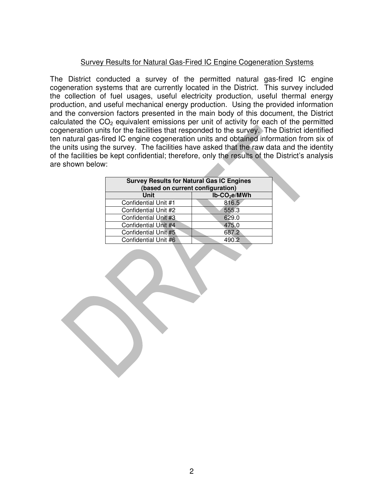#### Survey Results for Natural Gas-Fired IC Engine Cogeneration Systems

The District conducted a survey of the permitted natural gas-fired IC engine cogeneration systems that are currently located in the District. This survey included the collection of fuel usages, useful electricity production, useful thermal energy production, and useful mechanical energy production. Using the provided information and the conversion factors presented in the main body of this document, the District calculated the  $CO<sub>2</sub>$  equivalent emissions per unit of activity for each of the permitted cogeneration units for the facilities that responded to the survey. The District identified ten natural gas-fired IC engine cogeneration units and obtained information from six of the units using the survey. The facilities have asked that the raw data and the identity of the facilities be kept confidential; therefore, only the results of the District's analysis are shown below:

| <b>Survey Results for Natural Gas IC Engines</b><br>(based on current configuration) |               |  |
|--------------------------------------------------------------------------------------|---------------|--|
| Unit                                                                                 | $Ib-CO2e/MWh$ |  |
| Confidential Unit #1                                                                 | 816.5         |  |
| Confidential Unit #2                                                                 | 555.3         |  |
| Confidential Unit #3                                                                 | 629.0         |  |
| Confidential Unit #4                                                                 | 475.0         |  |
| Confidential Unit #5                                                                 | 687.2         |  |
| Confidential Unit #6                                                                 | 490.2         |  |
|                                                                                      |               |  |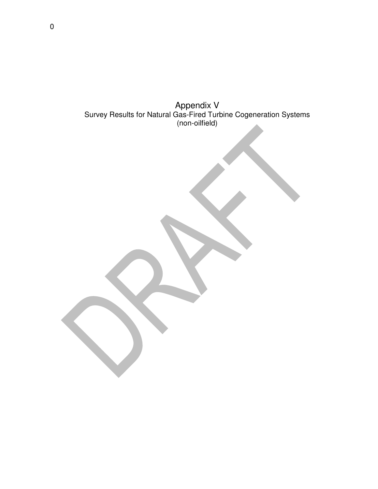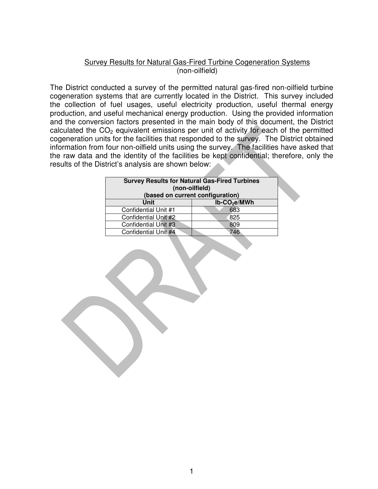#### Survey Results for Natural Gas-Fired Turbine Cogeneration Systems (non-oilfield)

The District conducted a survey of the permitted natural gas-fired non-oilfield turbine cogeneration systems that are currently located in the District. This survey included the collection of fuel usages, useful electricity production, useful thermal energy production, and useful mechanical energy production. Using the provided information and the conversion factors presented in the main body of this document, the District calculated the  $CO<sub>2</sub>$  equivalent emissions per unit of activity for each of the permitted cogeneration units for the facilities that responded to the survey. The District obtained information from four non-oilfield units using the survey. The facilities have asked that the raw data and the identity of the facilities be kept confidential; therefore, only the results of the District's analysis are shown below:

| <b>Survey Results for Natural Gas-Fired Turbines</b><br>(non-oilfield) |                                  |  |
|------------------------------------------------------------------------|----------------------------------|--|
|                                                                        | (based on current configuration) |  |
| <b>Unit</b>                                                            | $lb$ -CO <sub>2</sub> e/MWh      |  |
| Confidential Unit #1                                                   | 683                              |  |
| Confidential Unit #2                                                   | 825                              |  |
| Confidential Unit #3                                                   | 809                              |  |
| Confidential Unit #4                                                   | 746                              |  |
|                                                                        |                                  |  |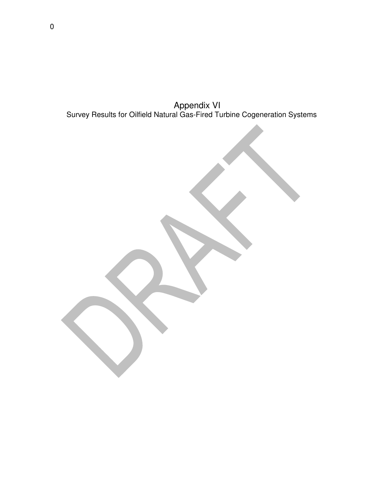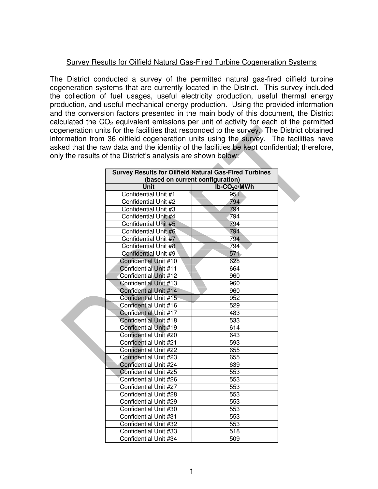#### Survey Results for Oilfield Natural Gas-Fired Turbine Cogeneration Systems

The District conducted a survey of the permitted natural gas-fired oilfield turbine cogeneration systems that are currently located in the District. This survey included the collection of fuel usages, useful electricity production, useful thermal energy production, and useful mechanical energy production. Using the provided information and the conversion factors presented in the main body of this document, the District calculated the  $CO<sub>2</sub>$  equivalent emissions per unit of activity for each of the permitted cogeneration units for the facilities that responded to the survey. The District obtained information from 36 oilfield cogeneration units using the survey. The facilities have asked that the raw data and the identity of the facilities be kept confidential; therefore, only the results of the District's analysis are shown below:

| <b>Survey Results for Oilfield Natural Gas-Fired Turbines</b><br>(based on current configuration) |                             |  |
|---------------------------------------------------------------------------------------------------|-----------------------------|--|
| Unit                                                                                              | $Ib$ -CO <sub>2</sub> e/MWh |  |
| Confidential Unit #1                                                                              | 951                         |  |
| Confidential Unit #2                                                                              | 794                         |  |
| Confidential Unit #3                                                                              | 794                         |  |
| Confidential Unit #4                                                                              | 794                         |  |
| Confidential Unit #5                                                                              | 794                         |  |
| Confidential Unit #6                                                                              | 794                         |  |
| Confidential Unit #7                                                                              | 794                         |  |
| Confidential Unit #8                                                                              | 794                         |  |
| Confidential Unit #9                                                                              | 571                         |  |
| Confidential Unit #10                                                                             | 628                         |  |
| Confidential Unit #11                                                                             | 664                         |  |
| Confidential Unit #12                                                                             | 960                         |  |
| Confidential Unit #13                                                                             | 960                         |  |
| Confidential Unit #14                                                                             | 960                         |  |
| Confidential Unit #15                                                                             | 952                         |  |
| Confidential Unit #16                                                                             | 529                         |  |
| Confidential Unit #17                                                                             | 483                         |  |
| <b>Confidential Unit #18</b>                                                                      | 533                         |  |
| Confidential Unit #19                                                                             | 614                         |  |
| Confidential Unit #20                                                                             | 643                         |  |
| Confidential Unit #21                                                                             | 593                         |  |
| Confidential Unit #22                                                                             | 655                         |  |
| Confidential Unit #23                                                                             | 655                         |  |
| Confidential Unit #24                                                                             | 639                         |  |
| Confidential Unit #25                                                                             | 553                         |  |
| Confidential Unit #26                                                                             | 553                         |  |
| Confidential Unit #27                                                                             | 553                         |  |
| Confidential Unit #28                                                                             | 553                         |  |
| Confidential Unit #29                                                                             | 553                         |  |
| Confidential Unit #30                                                                             | 553                         |  |
| Confidential Unit #31                                                                             | 553                         |  |
| Confidential Unit #32                                                                             | 553                         |  |
| Confidential Unit #33                                                                             | 518                         |  |
| Confidential Unit #34                                                                             | 509                         |  |